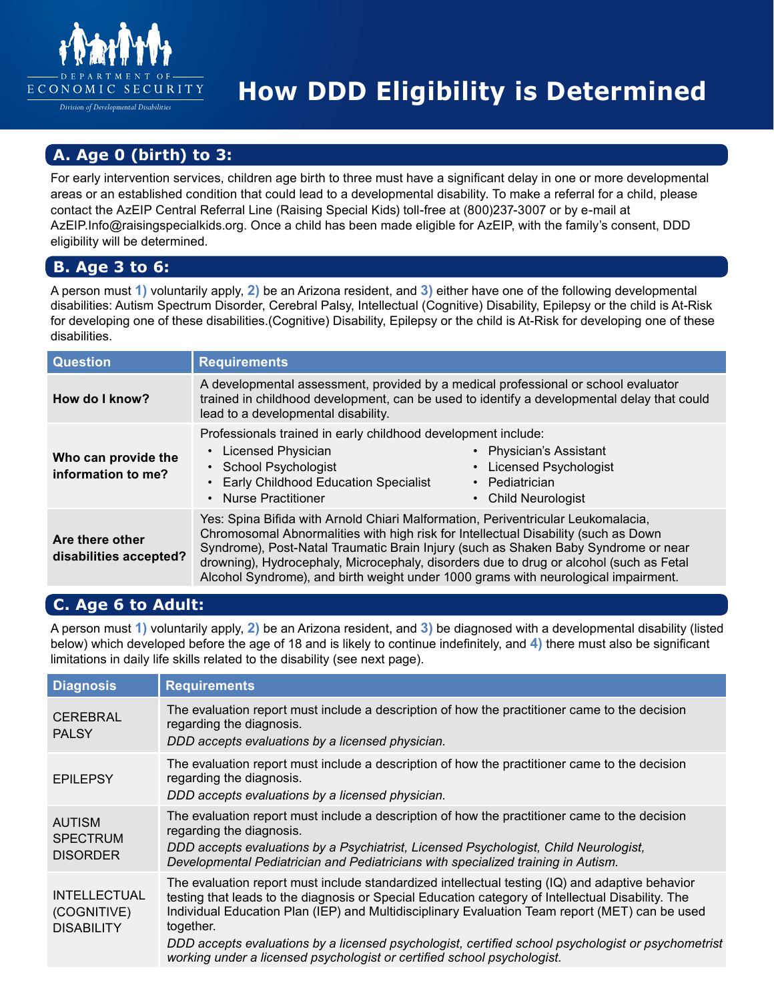

*Division of Developmental Disabilities* 

# **How DDD Eligibility is Determined**

# **A. Age 0 (birth) to 3:**

For early intervention services, children age birth to three must have a significant delay in one or more developmental areas or an established condition that could lead to a developmental disability. To make a referral for a child, please contact the AzEIP Central Referral Line (Raising Special Kids) toll-free at (800)237-3007 or by e-mail at [AzEIP.Info@raisingspecialkids.org.](mailto:AzEIP.Info@raisingspecialkids.org) Once a child has been made eligible for AzEIP, with the family's consent, DDD eligibility will be determined.

#### **B. Age 3 to 6:**

A person must **1)** voluntarily apply, **2)** be an Arizona resident, and **3)** either have one of the following developmental disabilities: Autism Spectrum Disorder, Cerebral Palsy, Intellectual (Cognitive) Disability, Epilepsy or the child is At-Risk for developing one of these disabilities.(Cognitive) Disability, Epilepsy or the child is At-Risk for developing one of these disabilities.

| <b>Question</b>                           | <b>Requirements</b>                                                                                                                                                                                                                                                                                                                                                                                                                          |
|-------------------------------------------|----------------------------------------------------------------------------------------------------------------------------------------------------------------------------------------------------------------------------------------------------------------------------------------------------------------------------------------------------------------------------------------------------------------------------------------------|
| How do I know?                            | A developmental assessment, provided by a medical professional or school evaluator<br>trained in childhood development, can be used to identify a developmental delay that could<br>lead to a developmental disability.                                                                                                                                                                                                                      |
| Who can provide the<br>information to me? | Professionals trained in early childhood development include:<br>• Licensed Physician<br>• Physician's Assistant<br>• School Psychologist<br>• Licensed Psychologist<br>• Early Childhood Education Specialist<br>Pediatrician<br>$\bullet$<br>• Nurse Practitioner<br>• Child Neurologist                                                                                                                                                   |
| Are there other<br>disabilities accepted? | Yes: Spina Bifida with Arnold Chiari Malformation, Periventricular Leukomalacia,<br>Chromosomal Abnormalities with high risk for Intellectual Disability (such as Down<br>Syndrome), Post-Natal Traumatic Brain Injury (such as Shaken Baby Syndrome or near<br>drowning), Hydrocephaly, Microcephaly, disorders due to drug or alcohol (such as Fetal<br>Alcohol Syndrome), and birth weight under 1000 grams with neurological impairment. |

## **C. Age 6 to Adult:**

A person must **1)** voluntarily apply, **2)** be an Arizona resident, and **3)** be diagnosed with a developmental disability (listed below) which developed before the age of 18 and is likely to continue indefinitely, and **4)** there must also be significant limitations in daily life skills related to the disability (see next page).

| <b>Diagnosis</b>                                        | <b>Requirements</b>                                                                                                                                                                                                                                                                                                                                                                                                                                                                                  |
|---------------------------------------------------------|------------------------------------------------------------------------------------------------------------------------------------------------------------------------------------------------------------------------------------------------------------------------------------------------------------------------------------------------------------------------------------------------------------------------------------------------------------------------------------------------------|
| <b>CEREBRAL</b><br><b>PALSY</b>                         | The evaluation report must include a description of how the practitioner came to the decision<br>regarding the diagnosis.<br>DDD accepts evaluations by a licensed physician.                                                                                                                                                                                                                                                                                                                        |
| <b>EPILEPSY</b>                                         | The evaluation report must include a description of how the practitioner came to the decision<br>regarding the diagnosis.<br>DDD accepts evaluations by a licensed physician.                                                                                                                                                                                                                                                                                                                        |
| <b>AUTISM</b><br><b>SPECTRUM</b><br><b>DISORDER</b>     | The evaluation report must include a description of how the practitioner came to the decision<br>regarding the diagnosis.<br>DDD accepts evaluations by a Psychiatrist, Licensed Psychologist, Child Neurologist,<br>Developmental Pediatrician and Pediatricians with specialized training in Autism.                                                                                                                                                                                               |
| <b>INTELLECTUAL</b><br>(COGNITIVE)<br><b>DISABILITY</b> | The evaluation report must include standardized intellectual testing (IQ) and adaptive behavior<br>testing that leads to the diagnosis or Special Education category of Intellectual Disability. The<br>Individual Education Plan (IEP) and Multidisciplinary Evaluation Team report (MET) can be used<br>together.<br>DDD accepts evaluations by a licensed psychologist, certified school psychologist or psychometrist<br>working under a licensed psychologist or certified school psychologist. |